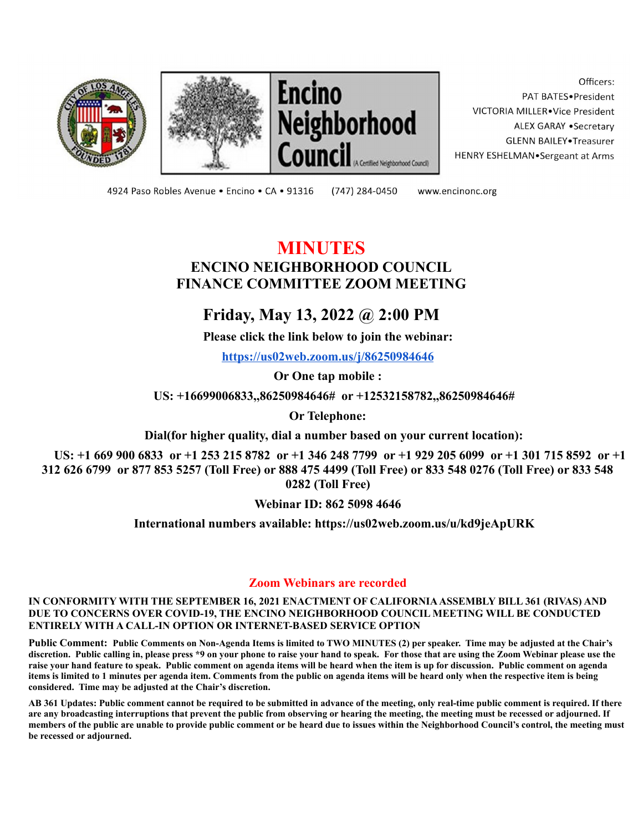





Officers: PAT BATES.President VICTORIA MILLER.Vice President ALEX GARAY . Secretary **GLENN BAILEY** Treasurer HENRY ESHELMAN.Sergeant at Arms

4924 Paso Robles Avenue · Encino · CA · 91316 (747) 284-0450

www.encinonc.org

## **MINUTES ENCINO NEIGHBORHOOD COUNCIL FINANCE COMMITTEE ZOOM MEETING**

## **Friday, May 13, 2022 @ 2:00 PM**

**Please click the link below to join the webinar:**

**<https://us02web.zoom.us/j/86250984646>**

**Or One tap mobile :**

**US: +16699006833,,86250984646# or +12532158782,,86250984646#**

**Or Telephone:**

**Dial(for higher quality, dial a number based on your current location):**

**US: +1 669 900 6833 or +1 253 215 8782 or +1 346 248 7799 or +1 929 205 6099 or +1 301 715 8592 or +1 312 626 6799 or 877 853 5257 (Toll Free) or 888 475 4499 (Toll Free) or 833 548 0276 (Toll Free) or 833 548 0282 (Toll Free)**

**Webinar ID: 862 5098 4646**

**International numbers available: https://us02web.zoom.us/u/kd9jeApURK**

## **Zoom Webinars are recorded**

**IN CONFORMITY WITH THE SEPTEMBER 16, 2021 ENACTMENT OF CALIFORNIAASSEMBLY BILL 361 (RIVAS) AND DUE TO CONCERNS OVER COVID-19, THE ENCINO NEIGHBORHOOD COUNCIL MEETING WILL BE CONDUCTED ENTIRELY WITH A CALL-IN OPTION OR INTERNET-BASED SERVICE OPTION**

**Public Comment: Public Comments on Non-Agenda Items is limited to TWO MINUTES (2) per speaker. Time may be adjusted at the Chair's discretion. Public calling in, please press \*9 on your phone to raise your hand to speak. For those that are using the Zoom Webinar please use the raise your hand feature to speak. Public comment on agenda items will be heard when the item is up for discussion. Public comment on agenda items is limited to 1 minutes per agenda item. Comments from the public on agenda items will be heard only when the respective item is being considered. Time may be adjusted at the Chair's discretion.**

**AB 361 Updates: Public comment cannot be required to be submitted in advance of the meeting, only real-time public comment is required. If there are any broadcasting interruptions that prevent the public from observing or hearing the meeting, the meeting must be recessed or adjourned. If members of the public are unable to provide public comment or be heard due to issues within the Neighborhood Council's control, the meeting must be recessed or adjourned.**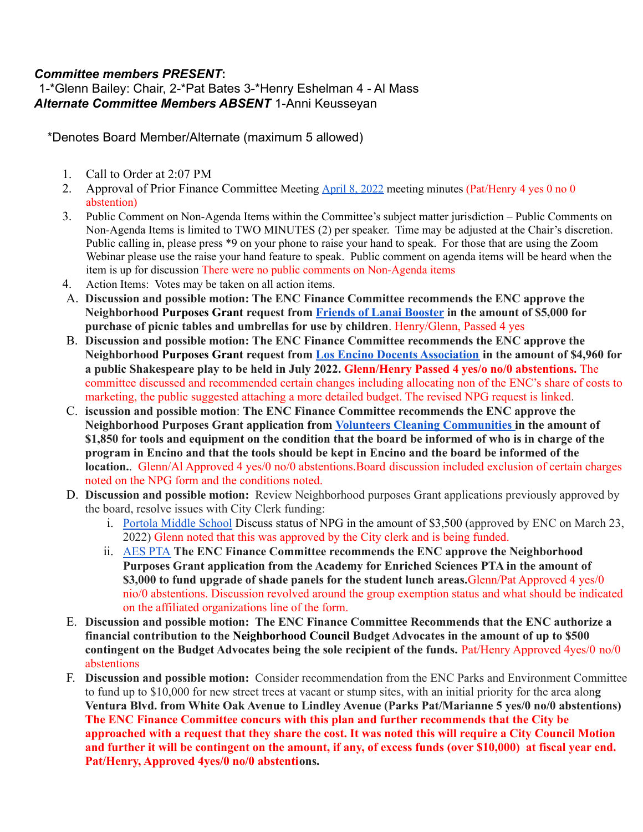## *Committee members PRESENT***:**

1-\*Glenn Bailey: Chair, 2-\*Pat Bates 3-\*Henry Eshelman 4 - Al Mass *Alternate Committee Members ABSENT* 1-Anni Keusseyan

\*Denotes Board Member/Alternate (maximum 5 allowed)

- 1. Call to Order at 2:07 PM
- 2. Approval of Prior Finance Committee Meeting [April](https://www.encinonc.org/assets/documents/8/meeting627a933c64fac.pdf) 8, 2022 meeting minutes (Pat/Henry 4 yes 0 no 0 abstention)
- 3. Public Comment on Non-Agenda Items within the Committee's subject matter jurisdiction Public Comments on Non-Agenda Items is limited to TWO MINUTES (2) per speaker. Time may be adjusted at the Chair's discretion. Public calling in, please press \*9 on your phone to raise your hand to speak. For those that are using the Zoom Webinar please use the raise your hand feature to speak. Public comment on agenda items will be heard when the item is up for discussion There were no public comments on Non-Agenda items
- 4. Action Items: Votes may be taken on all action items.
- A. **Discussion and possible motion: The ENC Finance Committee recommends the ENC approve the Neighborhood Purposes Grant request from Friends of Lanai [Booster](https://www.encinonc.org/page/viewDoc/377/financial) in the amount of \$5,000 for purchase of picnic tables and umbrellas for use by children**. Henry/Glenn, Passed 4 yes
- B. **Discussion and possible motion: The ENC Finance Committee recommends the ENC approve the Neighborhood Purposes Grant request from Los Encino Docents [Association](https://www.encinonc.org/page/viewDoc/383/financial) in the amount of \$4,960 for a public Shakespeare play to be held in July 2022. Glenn/Henry Passed 4 yes/o no/0 abstentions.** The committee discussed and recommended certain changes including allocating non of the ENC's share of costs to marketing, the public suggested attaching a more detailed budget. The revised NPG request is linked.
- C. **iscussion and possible motion**: **The ENC Finance Committee recommends the ENC approve the Neighborhood Purposes Grant application from Volunteers Cleaning [Communities](https://www.encinonc.org/page/viewDoc/376/financial) in the amount of** \$1,850 for tools and equipment on the condition that the board be informed of who is in charge of the program in Encino and that the tools should be kept in Encino and the board be informed of the **location.**. Glenn/Al Approved 4 yes/0 no/0 abstentions.Board discussion included exclusion of certain charges noted on the NPG form and the conditions noted.
- D. **Discussion and possible motion:** Review Neighborhood purposes Grant applications previously approved by the board, resolve issues with City Clerk funding:
	- i. Portola [Middle](https://www.encinonc.org/page/viewDoc/368/financial) School Discuss status of NPG in the amount of \$3,500 (approved by ENC on March 23, 2022) Glenn noted that this was approved by the City clerk and is being funded.
	- ii. [AES](https://www.encinonc.org/page/viewDoc/369/financial) PTA **The ENC Finance Committee recommends the ENC approve the Neighborhood Purposes Grant application from the Academy for Enriched Sciences PTA in the amount of \$3,000 to fund upgrade of shade panels for the student lunch areas.**Glenn/Pat Approved 4 yes/0 nio/0 abstentions. Discussion revolved around the group exemption status and what should be indicated on the affiliated organizations line of the form.
- E. **Discussion and possible motion: The ENC Finance Committee Recommends that the ENC authorize a financial contribution to the Neighborhood Council Budget Advocates in the amount of up to \$500 contingent on the Budget Advocates being the sole recipient of the funds.** Pat/Henry Approved 4yes/0 no/0 abstentions
- F. **Discussion and possible motion:** Consider recommendation from the ENC Parks and Environment Committee to fund up to \$10,000 for new street trees at vacant or stump sites, with an initial priority for the area alon**g Ventura Blvd. from White Oak Avenue to Lindley Avenue (Parks Pat/Marianne 5 yes/0 no/0 abstentions) The ENC Finance Committee concurs with this plan and further recommends that the City be** approached with a request that they share the cost. It was noted this will require a City Council Motion and further it will be contingent on the amount, if any, of excess funds (over \$10,000) at fiscal year end. **Pat/Henry, Approved 4yes/0 no/0 abstentions.**